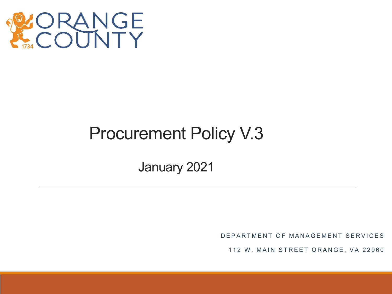

### Procurement Policy V.3

January 2021

DEPARTMENT OF MANAGEMENT SERVICES

112 W. MAIN STREET ORANGE, VA 22960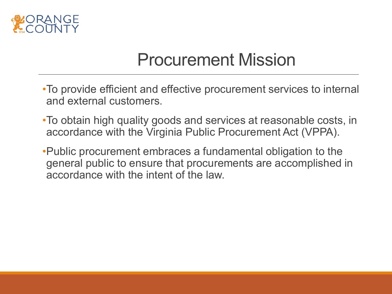

#### Procurement Mission

- •To provide efficient and effective procurement services to internal and external customers.
- •To obtain high quality goods and services at reasonable costs, in accordance with the Virginia Public Procurement Act (VPPA).
- •Public procurement embraces a fundamental obligation to the general public to ensure that procurements are accomplished in accordance with the intent of the law.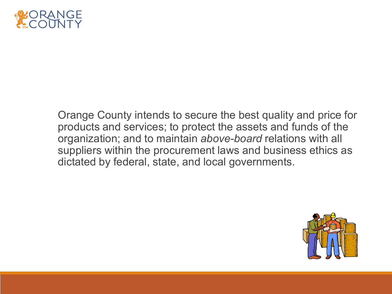

Orange County intends to secure the best quality and price for products and services; to protect the assets and funds of the organization; and to maintain *above-board* relations with all suppliers within the procurement laws and business ethics as dictated by federal, state, and local governments.

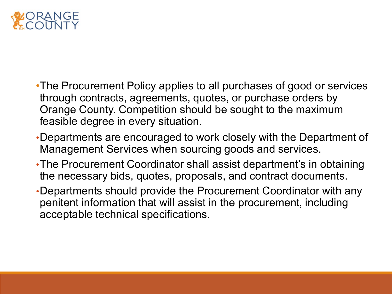

- •The Procurement Policy applies to all purchases of good or services through contracts, agreements, quotes, or purchase orders by Orange County. Competition should be sought to the maximum feasible degree in every situation.
- •Departments are encouraged to work closely with the Department of Management Services when sourcing goods and services.
- •The Procurement Coordinator shall assist department's in obtaining the necessary bids, quotes, proposals, and contract documents.
- •Departments should provide the Procurement Coordinator with any penitent information that will assist in the procurement, including acceptable technical specifications.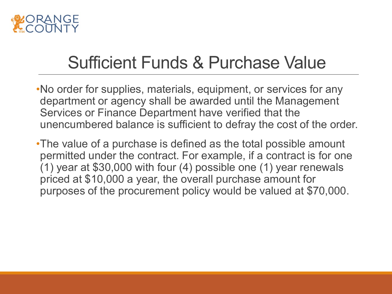

### Sufficient Funds & Purchase Value

- •No order for supplies, materials, equipment, or services for any department or agency shall be awarded until the Management Services or Finance Department have verified that the unencumbered balance is sufficient to defray the cost of the order.
- •The value of a purchase is defined as the total possible amount permitted under the contract. For example, if a contract is for one (1) year at \$30,000 with four (4) possible one (1) year renewals priced at \$10,000 a year, the overall purchase amount for purposes of the procurement policy would be valued at \$70,000.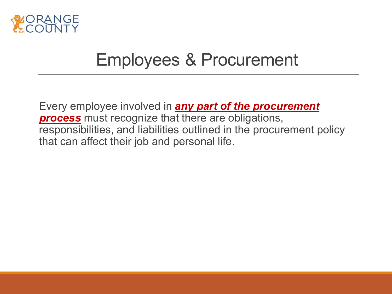

### Employees & Procurement

Every employee involved in *any part of the procurement process* must recognize that there are obligations, responsibilities, and liabilities outlined in the procurement policy that can affect their job and personal life.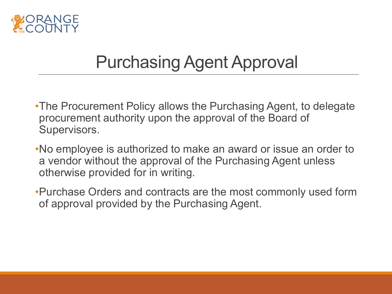

## Purchasing Agent Approval

- •The Procurement Policy allows the Purchasing Agent, to delegate procurement authority upon the approval of the Board of Supervisors.
- •No employee is authorized to make an award or issue an order to a vendor without the approval of the Purchasing Agent unless otherwise provided for in writing.
- •Purchase Orders and contracts are the most commonly used form of approval provided by the Purchasing Agent.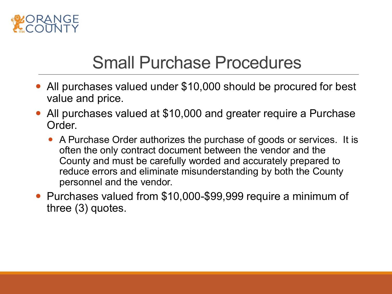

### Small Purchase Procedures

- All purchases valued under \$10,000 should be procured for best value and price.
- All purchases valued at \$10,000 and greater require a Purchase Order.
	- A Purchase Order authorizes the purchase of goods or services. It is often the only contract document between the vendor and the County and must be carefully worded and accurately prepared to reduce errors and eliminate misunderstanding by both the County personnel and the vendor.
- Purchases valued from \$10,000-\$99,999 require a minimum of three (3) quotes.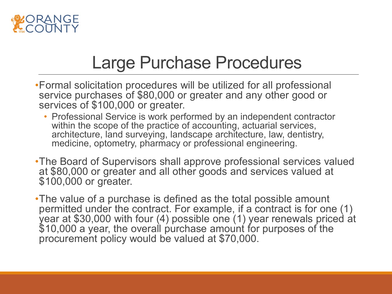

## Large Purchase Procedures

- •Formal solicitation procedures will be utilized for all professional service purchases of \$80,000 or greater and any other good or services of \$100,000 or greater.
	- Professional Service is work performed by an independent contractor within the scope of the practice of accounting, actuarial services, architecture, land surveying, landscape architecture, law, dentistry, medicine, optometry, pharmacy or professional engineering.
- •The Board of Supervisors shall approve professional services valued at \$80,000 or greater and all other goods and services valued at \$100,000 or greater.

•The value of a purchase is defined as the total possible amount permitted under the contract. For example, if a contract is for one (1) year at \$30,000 with four (4) possible one (1) year renewals priced at \$10,000 a year, the overall purchase amount for purposes of the procurement policy would be valued at \$70,000.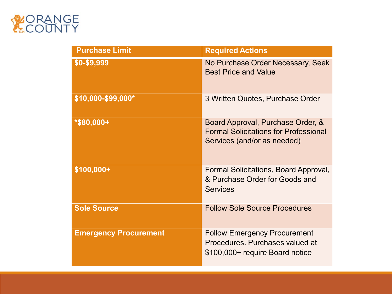

| <b>Purchase Limit</b>        | <b>Required Actions</b>                                                                                          |
|------------------------------|------------------------------------------------------------------------------------------------------------------|
| \$0-\$9,999                  | No Purchase Order Necessary, Seek<br><b>Best Price and Value</b>                                                 |
| \$10,000-\$99,000*           | 3 Written Quotes, Purchase Order                                                                                 |
| *\$80,000+                   | Board Approval, Purchase Order, &<br><b>Formal Solicitations for Professional</b><br>Services (and/or as needed) |
| \$100,000+                   | Formal Solicitations, Board Approval,<br>& Purchase Order for Goods and<br><b>Services</b>                       |
| <b>Sole Source</b>           | <b>Follow Sole Source Procedures</b>                                                                             |
| <b>Emergency Procurement</b> | <b>Follow Emergency Procurement</b><br>Procedures. Purchases valued at<br>\$100,000+ require Board notice        |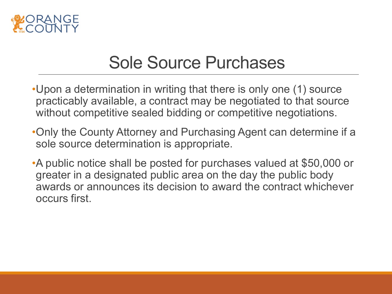

#### Sole Source Purchases

- •Upon a determination in writing that there is only one (1) source practicably available, a contract may be negotiated to that source without competitive sealed bidding or competitive negotiations.
- •Only the County Attorney and Purchasing Agent can determine if a sole source determination is appropriate.
- •A public notice shall be posted for purchases valued at \$50,000 or greater in a designated public area on the day the public body awards or announces its decision to award the contract whichever occurs first.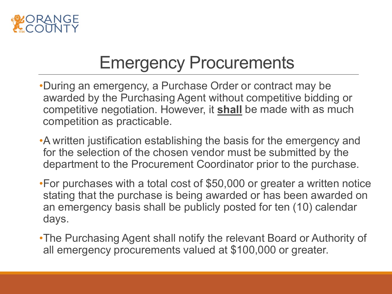

# Emergency Procurements

- •During an emergency, a Purchase Order or contract may be awarded by the Purchasing Agent without competitive bidding or competitive negotiation. However, it **shall** be made with as much competition as practicable.
- •A written justification establishing the basis for the emergency and for the selection of the chosen vendor must be submitted by the department to the Procurement Coordinator prior to the purchase.
- •For purchases with a total cost of \$50,000 or greater a written notice stating that the purchase is being awarded or has been awarded on an emergency basis shall be publicly posted for ten (10) calendar days.
- •The Purchasing Agent shall notify the relevant Board or Authority of all emergency procurements valued at \$100,000 or greater.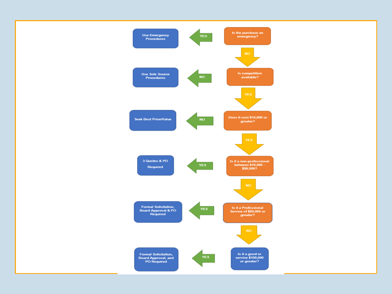